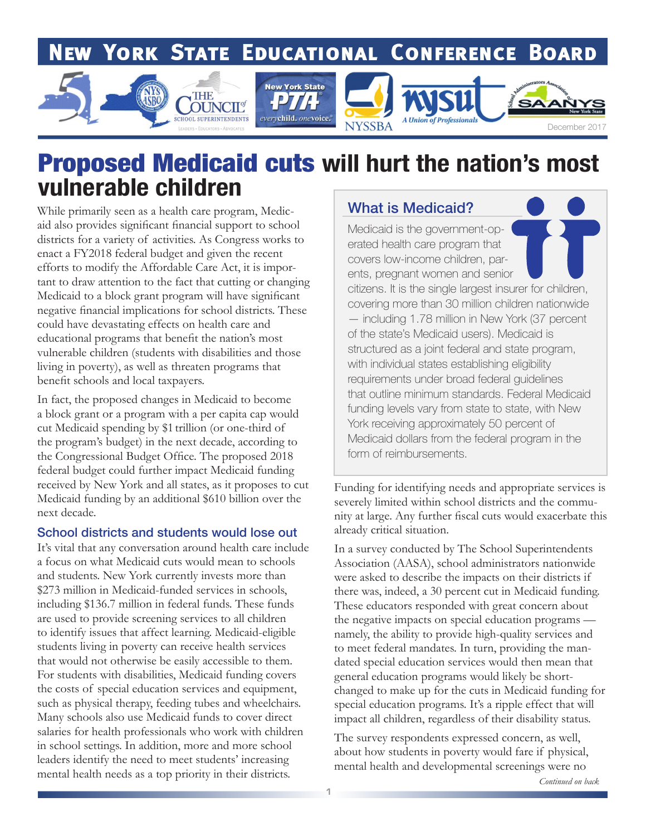## **NEW YORK STATE EDUCATIONAL CONFERENCE BOARD**



## Proposed Medicaid cuts **will hurt the nation's most vulnerable children**

While primarily seen as a health care program, Medicaid also provides significant financial support to school districts for a variety of activities. As Congress works to enact a FY2018 federal budget and given the recent efforts to modify the Affordable Care Act, it is important to draw attention to the fact that cutting or changing Medicaid to a block grant program will have significant negative financial implications for school districts. These could have devastating effects on health care and educational programs that benefit the nation's most vulnerable children (students with disabilities and those living in poverty), as well as threaten programs that benefit schools and local taxpayers.

In fact, the proposed changes in Medicaid to become a block grant or a program with a per capita cap would cut Medicaid spending by \$1 trillion (or one-third of the program's budget) in the next decade, according to the Congressional Budget Office. The proposed 2018 federal budget could further impact Medicaid funding received by New York and all states, as it proposes to cut Medicaid funding by an additional \$610 billion over the next decade.

#### School districts and students would lose out

It's vital that any conversation around health care include a focus on what Medicaid cuts would mean to schools and students. New York currently invests more than \$273 million in Medicaid-funded services in schools, including \$136.7 million in federal funds. These funds are used to provide screening services to all children to identify issues that affect learning. Medicaid-eligible students living in poverty can receive health services that would not otherwise be easily accessible to them. For students with disabilities, Medicaid funding covers the costs of special education services and equipment, such as physical therapy, feeding tubes and wheelchairs. Many schools also use Medicaid funds to cover direct salaries for health professionals who work with children in school settings. In addition, more and more school leaders identify the need to meet students' increasing mental health needs as a top priority in their districts.

### What is Medicaid?

Medicaid is the government-operated health care program that covers low-income children, parents, pregnant women and senior citizens. It is the single largest insurer for children, covering more than 30 million children nationwide — including 1.78 million in New York (37 percent of the state's Medicaid users). Medicaid is structured as a joint federal and state program, with individual states establishing eligibility requirements under broad federal guidelines that outline minimum standards. Federal Medicaid funding levels vary from state to state, with New York receiving approximately 50 percent of Medicaid dollars from the federal program in the form of reimbursements.

Funding for identifying needs and appropriate services is severely limited within school districts and the community at large. Any further fiscal cuts would exacerbate this already critical situation.

In a survey conducted by The School Superintendents Association (AASA), school administrators nationwide were asked to describe the impacts on their districts if there was, indeed, a 30 percent cut in Medicaid funding. These educators responded with great concern about the negative impacts on special education programs namely, the ability to provide high-quality services and to meet federal mandates. In turn, providing the mandated special education services would then mean that general education programs would likely be shortchanged to make up for the cuts in Medicaid funding for special education programs. It's a ripple effect that will impact all children, regardless of their disability status.

The survey respondents expressed concern, as well, about how students in poverty would fare if physical, mental health and developmental screenings were no